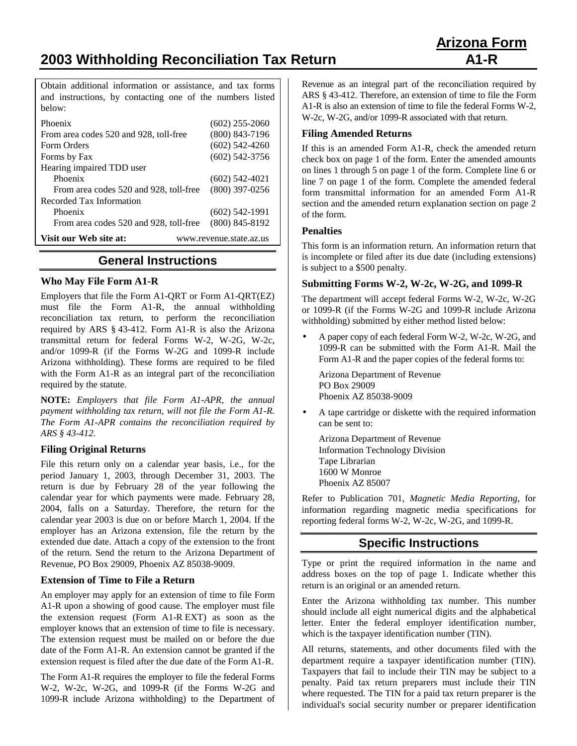**2003 Withholding Reconciliation Tax Return A1-R**

Obtain additional information or assistance, and tax forms and instructions, by contacting one of the numbers listed below:

| Phoenix                                           | $(602)$ 255-2060 |
|---------------------------------------------------|------------------|
| From area codes 520 and 928, toll-free            | $(800)$ 843-7196 |
| Form Orders                                       | $(602)$ 542-4260 |
| Forms by Fax                                      | $(602)$ 542-3756 |
| Hearing impaired TDD user                         |                  |
| Phoenix                                           | $(602)$ 542-4021 |
| From area codes 520 and 928, toll-free            | $(800)$ 397-0256 |
| Recorded Tax Information                          |                  |
| Phoenix                                           | $(602)$ 542-1991 |
| From area codes 520 and 928, toll-free            | $(800)$ 845-8192 |
| Visit our Web site at:<br>www.revenue.state.az.us |                  |

# **General Instructions**

#### **Who May File Form A1-R**

Employers that file the Form A1-QRT or Form A1-QRT(EZ) must file the Form A1-R, the annual withholding reconciliation tax return, to perform the reconciliation required by ARS § 43-412. Form A1-R is also the Arizona transmittal return for federal Forms W-2, W-2G, W-2c, and/or 1099-R (if the Forms W-2G and 1099-R include Arizona withholding). These forms are required to be filed with the Form A1-R as an integral part of the reconciliation required by the statute.

**NOTE:** *Employers that file Form A1-APR, the annual payment withholding tax return, will not file the Form A1-R. The Form A1-APR contains the reconciliation required by ARS § 43-412.*

#### **Filing Original Returns**

File this return only on a calendar year basis, i.e., for the period January 1, 2003, through December 31, 2003. The return is due by February 28 of the year following the calendar year for which payments were made. February 28, 2004, falls on a Saturday. Therefore, the return for the calendar year 2003 is due on or before March 1, 2004. If the employer has an Arizona extension, file the return by the extended due date. Attach a copy of the extension to the front of the return. Send the return to the Arizona Department of Revenue, PO Box 29009, Phoenix AZ 85038-9009.

#### **Extension of Time to File a Return**

An employer may apply for an extension of time to file Form A1-R upon a showing of good cause. The employer must file the extension request (Form A1-R EXT) as soon as the employer knows that an extension of time to file is necessary. The extension request must be mailed on or before the due date of the Form A1-R. An extension cannot be granted if the extension request is filed after the due date of the Form A1-R.

The Form A1-R requires the employer to file the federal Forms W-2, W-2c, W-2G, and 1099-R (if the Forms W-2G and 1099-R include Arizona withholding) to the Department of Revenue as an integral part of the reconciliation required by ARS § 43-412. Therefore, an extension of time to file the Form A1-R is also an extension of time to file the federal Forms W-2, W-2c, W-2G, and/or 1099-R associated with that return.

#### **Filing Amended Returns**

If this is an amended Form A1-R, check the amended return check box on page 1 of the form. Enter the amended amounts on lines 1 through 5 on page 1 of the form. Complete line 6 or line 7 on page 1 of the form. Complete the amended federal form transmittal information for an amended Form A1-R section and the amended return explanation section on page 2 of the form.

#### **Penalties**

This form is an information return. An information return that is incomplete or filed after its due date (including extensions) is subject to a \$500 penalty.

### **Submitting Forms W-2, W-2c, W-2G, and 1099-R**

The department will accept federal Forms W-2, W-2c, W-2G or 1099-R (if the Forms W-2G and 1099-R include Arizona withholding) submitted by either method listed below:

• A paper copy of each federal Form W-2, W-2c, W-2G, and 1099-R can be submitted with the Form A1-R. Mail the Form A1-R and the paper copies of the federal forms to:

Arizona Department of Revenue PO Box 29009 Phoenix AZ 85038-9009

• A tape cartridge or diskette with the required information can be sent to:

Arizona Department of Revenue Information Technology Division Tape Librarian 1600 W Monroe Phoenix AZ 85007

Refer to Publication 701, *Magnetic Media Reporting*, for information regarding magnetic media specifications for reporting federal forms W-2, W-2c, W-2G, and 1099-R.

# **Specific Instructions**

Type or print the required information in the name and address boxes on the top of page 1. Indicate whether this return is an original or an amended return.

Enter the Arizona withholding tax number. This number should include all eight numerical digits and the alphabetical letter. Enter the federal employer identification number, which is the taxpayer identification number (TIN).

All returns, statements, and other documents filed with the department require a taxpayer identification number (TIN). Taxpayers that fail to include their TIN may be subject to a penalty. Paid tax return preparers must include their TIN where requested. The TIN for a paid tax return preparer is the individual's social security number or preparer identification